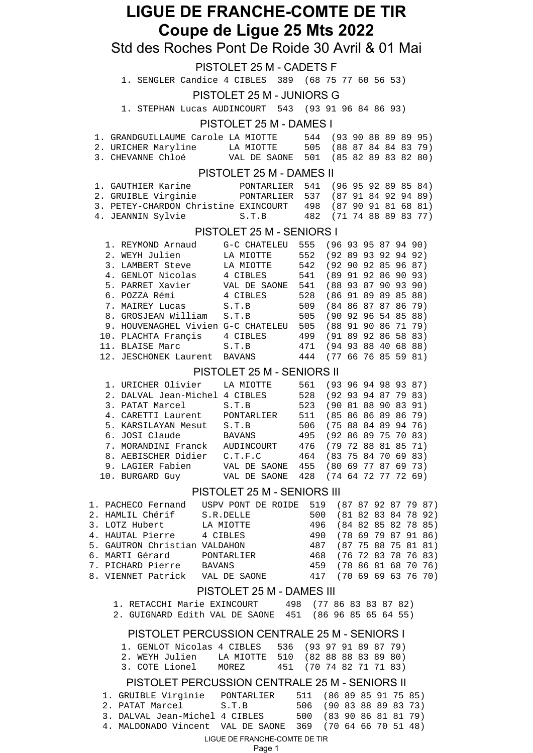# **LIGUE DE FRANCHE-COMTE DE TIR Coupe de Ligue 25 Mts 2022**

## Std des Roches Pont De Roide 30 Avril & 01 Mai

|                                                                     | <b>PISTOLET 25 M - CADETS F</b>           |                         |                          |  |  |                                                |
|---------------------------------------------------------------------|-------------------------------------------|-------------------------|--------------------------|--|--|------------------------------------------------|
| 1. SENGLER Candice 4 CIBLES 389 (68 75 77 60 56 53)                 |                                           |                         |                          |  |  |                                                |
|                                                                     | <b>PISTOLET 25 M - JUNIORS G</b>          |                         |                          |  |  |                                                |
| 1. STEPHAN Lucas AUDINCOURT 543 (93 91 96 84 86 93)                 |                                           |                         |                          |  |  |                                                |
|                                                                     | PISTOLET 25 M - DAMES I                   |                         |                          |  |  |                                                |
|                                                                     |                                           |                         |                          |  |  |                                                |
| 1. GRANDGUILLAUME Carole LA MIOTTE<br>2. URICHER Maryline LA MIOTTE |                                           | 505                     |                          |  |  | 544 (93 90 88 89 89 95)<br>(88 87 84 84 83 79) |
| 3. CHEVANNE Chloé                                                   | VAL DE SAONE 501 (85 82 89 83 82 80)      |                         |                          |  |  |                                                |
|                                                                     |                                           |                         |                          |  |  |                                                |
|                                                                     | PISTOLET 25 M - DAMES II                  |                         |                          |  |  |                                                |
| 1. GAUTHIER Karine               PONTARLIER                         |                                           | 541                     |                          |  |  | (96 95 92 89 85 84)                            |
| 2. GRUIBLE Virginie PONTARLIER                                      |                                           | 537                     |                          |  |  | (879184929489)                                 |
| 3. PETEY-CHARDON Christine EXINCOURT                                |                                           | 498                     |                          |  |  | (879091816881)                                 |
| 4. JEANNIN Sylvie                                                   | S.T.B                                     | 482                     |                          |  |  | $(71\ 74\ 88\ 89\ 83\ 77)$                     |
|                                                                     | PISTOLET 25 M - SENIORS I                 |                         |                          |  |  |                                                |
| 1. REYMOND Arnaud                                                   | G-C CHATELEU                              | 555 (96 93 95 87 94 90) |                          |  |  |                                                |
| 2. WEYH Julien                                                      | LA MIOTTE                                 | 552 (92 89 93 92 94 92) |                          |  |  |                                                |
| 3. LAMBERT Steve                                                    | LA MIOTTE                                 | 542 (92 90 92 85 96 87) |                          |  |  |                                                |
| 4. GENLOT Nicolas 4 CIBLES                                          |                                           | 541 (89 91 92 86 90     |                          |  |  | 93)                                            |
| 5. PARRET Xavier                                                    | VAL DE SAONE 541 (88 93 87 90 93          |                         |                          |  |  | 90)                                            |
| 6. POZZA Rémi                                                       | 4 CIBLES                                  | 528 (86 91 89 89 85 88) |                          |  |  |                                                |
| 7. MAIREY Lucas                                                     | S.T.B                                     | 509 (84 86 87 87 86 79) |                          |  |  |                                                |
| 8. GROSJEAN William                                                 | S.T.B                                     | 505 (90 92 96 54 85 88) |                          |  |  |                                                |
| 9. HOUVENAGHEL Vivien G-C CHATELEU 505 (88 91 90 86 71 79)          |                                           |                         |                          |  |  |                                                |
| 10. PLACHTA Françis                                                 | 4 CIBLES                                  | 499 (91 89 92 86 58 83) |                          |  |  |                                                |
| 11. BLAISE Marc                                                     | S.T.B                                     | 471 (94 93 88 40 68 88) |                          |  |  |                                                |
| 12. JESCHONEK Laurent BAVANS                                        |                                           | 444                     | (77, 66, 76, 85, 59, 81) |  |  |                                                |
|                                                                     | PISTOLET 25 M - SENIORS II                |                         |                          |  |  |                                                |
| 1. URICHER Olivier LA MIOTTE                                        |                                           | 561 (93 96 94 98 93 87) |                          |  |  |                                                |
| 2. DALVAL Jean-Michel 4 CIBLES                                      |                                           | 528 (92 93 94 87 79 83) |                          |  |  |                                                |
| 3. PATAT Marcel                                                     | S.T.B                                     | 523 (90 81 88 90        |                          |  |  | 83 91)                                         |
| 4. CARETTI Laurent PONTARLIER 511 (85 86 86 89 86 79)               |                                           |                         |                          |  |  |                                                |
| E VADCTIAVANI Mogut                                                 | $F \cap G$ (75 00 01 00 01<br>$C$ $\pi$ D |                         |                          |  |  | 761                                            |

| 495 (92 86 89 75 70 83)              |
|--------------------------------------|
| 476 (79 72 88 81 85 71)              |
| 464 (83 75 84 70 69 83)              |
| 455 (80 69 77 87 69 73)              |
| VAL DE SAONE 428 (74 64 72 77 72 69) |
|                                      |

#### PISTOLET 25 M - SENIORS III

| 1. PACHECO Fernand            | USPV PONT DE ROIDE | 519 (87 87 92 87 79 87) |  |  |  |
|-------------------------------|--------------------|-------------------------|--|--|--|
| 2. HAMLIL Chérif              | S.R.DELLE          | 500 (81 82 83 84 78 92) |  |  |  |
| 3. LOTZ Hubert                | LA MIOTTE          | 496 (84 82 85 82 78 85) |  |  |  |
| 4. HAUTAL Pierre              | 4 CIBLES           | 490 (78 69 79 87 91 86) |  |  |  |
| 5. GAUTRON Christian VALDAHON |                    | 487 (87 75 88 75 81 81) |  |  |  |
| 6. MARTI Gérard PONTARLIER    |                    | 468 (76 72 83 78 76 83) |  |  |  |
| 7. PICHARD Pierre BAVANS      |                    | 459 (78 86 81 68 70 76) |  |  |  |
| 8. VIENNET Patrick            | VAL DE SAONE       | 417 (70 69 69 63 76 70) |  |  |  |

#### PISTOLET 25 M - DAMES III

| 1. RETACCHI Marie EXINCOURT                            |  | 498 (77 86 83 83 87 82) |  |  |  |
|--------------------------------------------------------|--|-------------------------|--|--|--|
| 2. GUIGNARD Edith VAL DE SAONE 451 (86 96 85 65 64 55) |  |                         |  |  |  |

#### PISTOLET PERCUSSION CENTRALE 25 M - SENIORS I

| 1. GENLOT Nicolas 4 CIBLES 536 (93 97 91 89 87 79) |       |                         |  |  |  |
|----------------------------------------------------|-------|-------------------------|--|--|--|
| 2. WEYH Julien - LA MIOTTE 510 (82 88 88 83 89 80) |       |                         |  |  |  |
| 3. COTE Lionel                                     | MOREZ | 451 (70 74 82 71 71 83) |  |  |  |

## PISTOLET PERCUSSION CENTRALE 25 M - SENIORS II

| 1. GRUIBLE Virginie                                       | PONTARLIER | 511 (86 89 85 91 75 85) |  |  |  |
|-----------------------------------------------------------|------------|-------------------------|--|--|--|
| 2. PATAT Marcel                                           | S.T.B      | 506 (90 83 88 89 83 73) |  |  |  |
| 3. DALVAL Jean-Michel 4 CIBLES                            |            | 500 (83 90 86 81 81 79) |  |  |  |
| 4. MALDONADO Vincent VAL DE SAONE 369 (70 64 66 70 51 48) |            |                         |  |  |  |

### LIGUE DE FRANCHE-COMTE DE TIR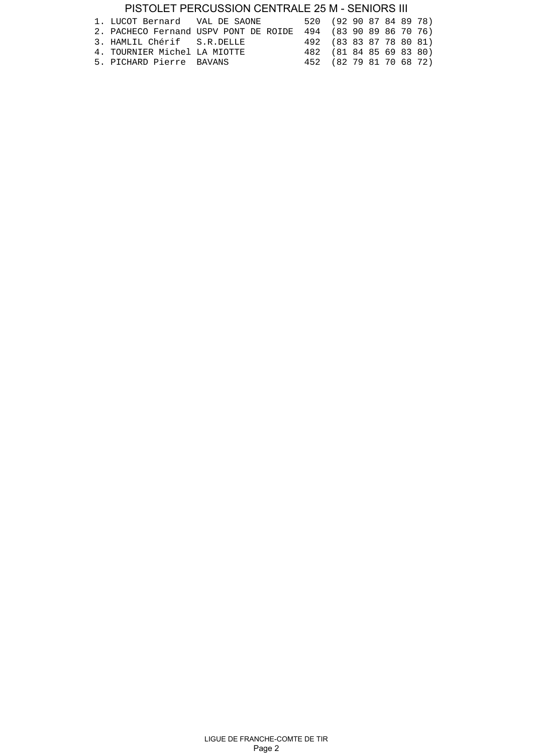## PISTOLET PERCUSSION CENTRALE 25 M - SENIORS III

| 1. LUCOT Bernard VAL DE SAONE |                                                               | 520 (92 90 87 84 89 78) |  |  |  |
|-------------------------------|---------------------------------------------------------------|-------------------------|--|--|--|
|                               | 2. PACHECO Fernand USPV PONT DE ROIDE 494 (83 90 89 86 70 76) |                         |  |  |  |
| 3. HAMLIL Chérif S.R.DELLE    |                                                               | 492 (83 83 87 78 80 81) |  |  |  |
| 4. TOURNIER Michel LA MIOTTE  |                                                               | 482 (81 84 85 69 83 80) |  |  |  |
| 5. PICHARD Pierre BAVANS      |                                                               | 452 (82 79 81 70 68 72) |  |  |  |